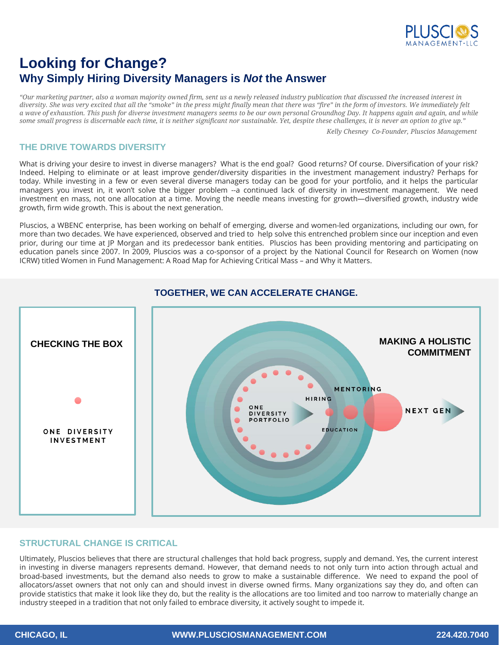

# **Looking for Change? Why Simply Hiring Diversity Managers is** *Not* **the Answer**

*"Our marketing partner, also a woman majority owned firm, sent us a newly released industry publication that discussed the increased interest in diversity. She was very excited that all the "smoke" in the press might finally mean that there was "fire" in the form of investors. We immediately felt a wave of exhaustion. This push for diverse investment managers seems to be our own personal Groundhog Day. It happens again and again, and while some small progress is discernable each time, it is neither significant nor sustainable. Yet, despite these challenges, it is never an option to give up."* 

*Kelly Chesney Co-Founder, Pluscios Management* 

## **THE DRIVE TOWARDS DIVERSITY**

What is driving your desire to invest in diverse managers? What is the end goal? Good returns? Of course. Diversification of your risk? Indeed. Helping to eliminate or at least improve gender/diversity disparities in the investment management industry? Perhaps for today. While investing in a few or even several diverse managers today can be good for your portfolio, and it helps the particular managers you invest in, it won't solve the bigger problem --a continued lack of diversity in investment management. We need investment en mass, not one allocation at a time. Moving the needle means investing for growth—diversified growth, industry wide growth, firm wide growth. This is about the next generation.

Pluscios, a WBENC enterprise, has been working on behalf of emerging, diverse and women-led organizations, including our own, for more than two decades. We have experienced, observed and tried to help solve this entrenched problem since our inception and even prior, during our time at JP Morgan and its predecessor bank entities. Pluscios has been providing mentoring and participating on education panels since 2007. In 2009, Pluscios was a co-sponsor of a project by the National Council for Research on Women (now ICRW) titled Women in Fund Management: A Road Map for Achieving Critical Mass – and Why it Matters.



# **TOGETHER, WE CAN ACCELERATE CHANGE.**

### **STRUCTURAL CHANGE IS CRITICAL**

Ultimately, Pluscios believes that there are structural challenges that hold back progress, supply and demand. Yes, the current interest in investing in diverse managers represents demand. However, that demand needs to not only turn into action through actual and broad-based investments, but the demand also needs to grow to make a sustainable difference. We need to expand the pool of allocators/asset owners that not only can and should invest in diverse owned firms. Many organizations say they do, and often can provide statistics that make it look like they do, but the reality is the allocations are too limited and too narrow to materially change an industry steeped in a tradition that not only failed to embrace diversity, it actively sought to impede it.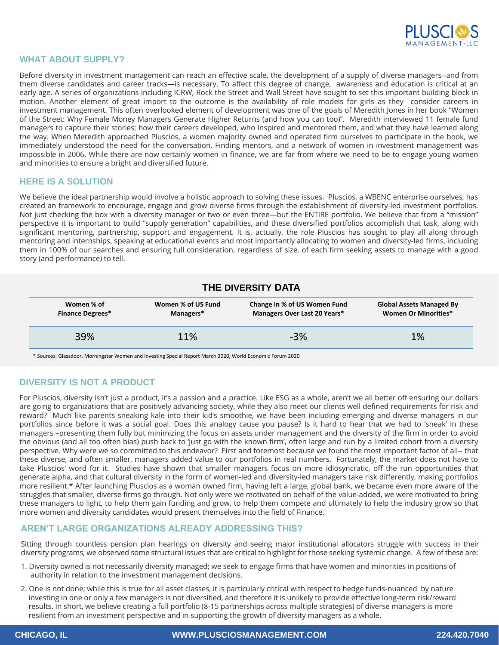

### **WHAT ABOUT SUPPLY?**

Before diversity in investment management can reach an effective scale, the development of a supply of diverse managers--and from them diverse candidates and career tracks—is necessary. To affect this degree of change, awareness and education is critical at an early age. A series of organizations including ICRW, Rock the Street and Wall Street have sought to set this important building block in motion. Another element of great import to the outcome is the availability of role models for girls as they consider careers in investment management. This often overlooked element of development was one of the goals of Meredith Jones in her book "Women of the Street: Why Female Money Managers Generate Higher Returns (and how you can too)". Meredith interviewed 11 female fund managers to capture their stories; how their careers developed, who inspired and mentored them, and what they have learned along the way. When Meredith approached Pluscios, a women majority owned and operated firm ourselves to participate in the book, we immediately understood the need for the conversation. Finding mentors, and a network of women in investment management was impossible in 2006. While there are now certainly women in finance, we are far from where we need to be to engage young women and minorities to ensure a bright and diversified future.

### **HERE IS A SOLUTION**

We believe the ideal partnership would involve a holistic approach to solving these issues. Pluscios, a WBENC enterprise ourselves, has created an framework to encourage, engage and grow diverse firms through the establishment of diversity-led investment portfolios. Not just checking the box with a diversity manager or two or even three—but the ENTIRE portfolio. We believe that from a "mission" perspective it is important to build "supply generation" capabilities, and these diversified portfolios accomplish that task, along with significant mentoring, partnership, support and engagement. It is, actually, the role Pluscios has sought to play all along through mentoring and internships, speaking at educational events and most importantly allocating to women and diversity-led firms, including them in 100% of our searches and ensuring full consideration, regardless of size, of each firm seeking assets to manage with a good story (and performance) to tell.

| <b>THE DIVERSITY DATA</b>             |                                 |                                                              |                                                                |  |
|---------------------------------------|---------------------------------|--------------------------------------------------------------|----------------------------------------------------------------|--|
| Women % of<br><b>Finance Degrees*</b> | Women % of US Fund<br>Managers* | Change in % of US Women Fund<br>Managers Over Last 20 Years* | <b>Global Assets Managed By</b><br><b>Women Or Minorities*</b> |  |
| 39%                                   | 11%                             | $-3%$                                                        | 1%                                                             |  |

\* Sources: Glassdoor, Morningstar Women and Investing Special Report March 2020, World Economic Forum 2020

## **DIVERSITY IS NOT A PRODUCT**

For Pluscios, diversity isn't just a product, it's a passion and a practice. Like ESG as a whole, aren't we all better off ensuring our dollars are going to organizations that are positively advancing society, while they also meet our clients well defined requirements for risk and reward? Much like parents sneaking kale into their kid's smoothie, we have been including emerging and diverse managers in our portfolios since before it was a social goal. Does this analogy cause you pause? Is it hard to hear that we had to 'sneak' in these managers –presenting them fully but minimizing the focus on assets under management and the diversity of the firm in order to avoid the obvious (and all too often bias) push back to 'just go with the known firm', often large and run by a limited cohort from a diversity perspective. Why were we so committed to this endeavor? First and foremost because we found the most important factor of all-- that these diverse, and often smaller, managers added value to our portfolios in real numbers. Fortunately, the market does not have to take Pluscios' word for it. Studies have shown that smaller managers focus on more idiosyncratic, off the run opportunities that generate alpha, and that cultural diversity in the form of women-led and diversity-led managers take risk differently, making portfolios more resilient.\* After launching Pluscios as a woman owned firm, having left a large, global bank, we became even more aware of the struggles that smaller, diverse firms go through. Not only were we motivated on behalf of the value-added, we were motivated to bring these managers to light, to help them gain funding and grow, to help them compete and ultimately to help the industry grow so that more women and diversity candidates would present themselves into the field of Finance.

## **AREN'T LARGE ORGANIZATIONS ALREADY ADDRESSING THIS?**

Sitting through countless pension plan hearings on diversity and seeing major institutional allocators struggle with success in their diversity programs, we observed some structural issues that are critical to highlight for those seeking systemic change. A few of these are:

- 1. Diversity owned is not necessarily diversity managed; we seek to engage firms that have women and minorities in positions of authority in relation to the investment management decisions.
- 2. One is not done; while this is true for all asset classes, it is particularly critical with respect to hedge funds-nuanced by nature investing in one or only a few managers is not diversified, and therefore it is unlikely to provide effective long-term risk/reward results. In short, we believe creating a full portfolio (8-15 partnerships across multiple strategies) of diverse managers is more resilient from an investment perspective and in supporting the growth of diversity managers as a whole.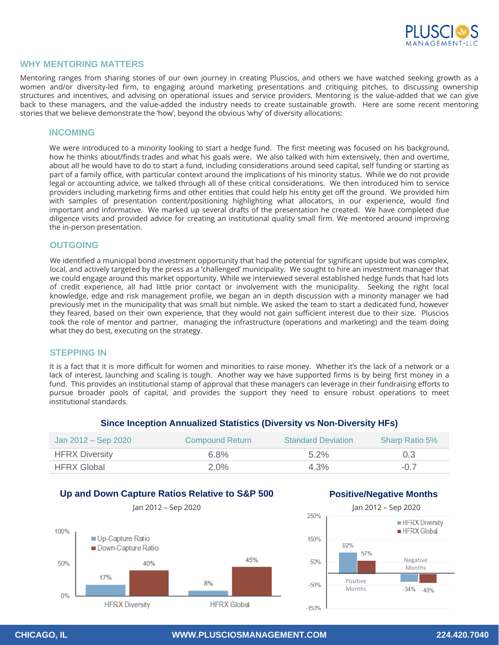

## **WHY MENTORING MATTERS**

Mentoring ranges from sharing stories of our own journey in creating Pluscios, and others we have watched seeking growth as a women and/or diversity-led firm, to engaging around marketing presentations and critiquing pitches, to discussing ownership structures and incentives, and advising on operational issues and service providers. Mentoring is the value-added that we can give back to these managers, and the value-added the industry needs to create sustainable growth. Here are some recent mentoring stories that we believe demonstrate the 'how', beyond the obvious 'why' of diversity allocations:

### **INCOMING**

We were introduced to a minority looking to start a hedge fund. The first meeting was focused on his background, how he thinks about/finds trades and what his goals were. We also talked with him extensively, then and overtime, about all he would have to do to start a fund, including considerations around seed capital, self funding or starting as part of a family office, with particular context around the implications of his minority status. While we do not provide legal or accounting advice, we talked through all of these critical considerations. We then introduced him to service providers including marketing firms and other entities that could help his entity get off the ground. We provided him with samples of presentation content/positioning highlighting what allocators, in our experience, would find important and informative. We marked up several drafts of the presentation he created. We have completed due diligence visits and provided advice for creating an institutional quality small firm. We mentored around improving the in-person presentation.

#### **OUTGOING**

We identified a municipal bond investment opportunity that had the potential for significant upside but was complex, local, and actively targeted by the press as a 'challenged' municipality. We sought to hire an investment manager that we could engage around this market opportunity. While we interviewed several established hedge funds that had lots of credit experience, all had little prior contact or involvement with the municipality. Seeking the right local knowledge, edge and risk management profile, we began an in depth discussion with a minority manager we had previously met in the municipality that was small but nimble. We asked the team to start a dedicated fund, however they feared, based on their own experience, that they would not gain sufficient interest due to their size. Pluscios took the role of mentor and partner, managing the infrastructure (operations and marketing) and the team doing what they do best, executing on the strategy.

#### **STEPPING IN**

It is a fact that it is more difficult for women and minorities to raise money. Whether it's the lack of a network or a lack of interest, launching and scaling is tough. Another way we have supported firms is by being first money in a fund. This provides an institutional stamp of approval that these managers can leverage in their fundraising efforts to pursue broader pools of capital, and provides the support they need to ensure robust operations to meet institutional standards.

| Jan 2012 – Sep 2020   | <b>Compound Return</b> | <b>Standard Deviation</b> | <b>Sharp Ratio 5%</b> |
|-----------------------|------------------------|---------------------------|-----------------------|
| <b>HFRX Diversity</b> | 6.8%                   | $5.2\%$                   | 0.3                   |
| <b>HFRX Global</b>    | $2.0\%$                | $4.3\%$                   | $-0.7$                |

#### **Since Inception Annualized Statistics (Diversity vs Non-Diversity HFs)**

# **Up and Down Capture Ratios Relative to S&P 500**



#### **Positive/Negative Months**